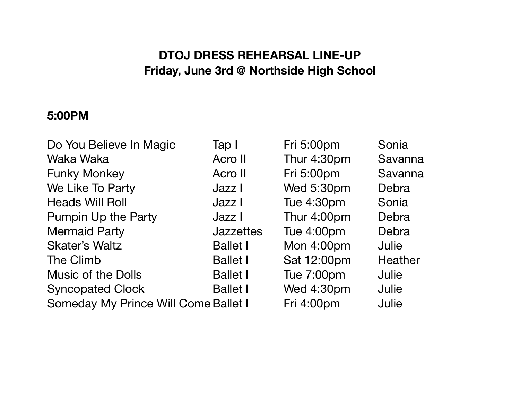# **DTOJ DRESS REHEARSAL LINE-UP Friday, June 3rd @ Northside High School**

## **5:00PM**

| Do You Believe In Magic              | Tap I            | Fri 5:00pm        | Sonia   |
|--------------------------------------|------------------|-------------------|---------|
| Waka Waka                            | Acro II          | Thur 4:30pm       | Savanna |
| <b>Funky Monkey</b>                  | Acro II          | Fri 5:00pm        | Savanna |
| We Like To Party                     | Jazz I           | Wed 5:30pm        | Debra   |
| <b>Heads Will Roll</b>               | Jazz I           | Tue 4:30pm        | Sonia   |
| <b>Pumpin Up the Party</b>           | Jazz I           | Thur 4:00pm       | Debra   |
| <b>Mermaid Party</b>                 | <b>Jazzettes</b> | Tue 4:00pm        | Debra   |
| <b>Skater's Waltz</b>                | <b>Ballet I</b>  | Mon 4:00pm        | Julie   |
| The Climb                            | <b>Ballet I</b>  | Sat 12:00pm       | Heather |
| <b>Music of the Dolls</b>            | <b>Ballet I</b>  | <b>Tue 7:00pm</b> | Julie   |
| <b>Syncopated Clock</b>              | <b>Ballet I</b>  | Wed 4:30pm        | Julie   |
| Someday My Prince Will Come Ballet I |                  | Fri 4:00pm        | Julie   |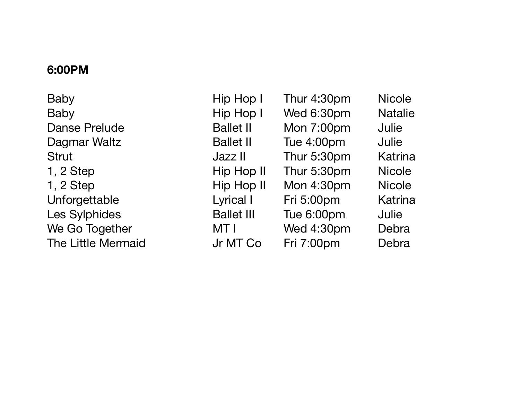#### **6:00PM**

Baby **Baby Baby Baby Right** Hip Hop I Thur 4:30pm Nicole Baby Baby Hip Hop I Wed 6:30pm Natalie Danse Prelude **Ballet II** Mon 7:00pm Julie Dagmar Waltz **Ballet II** Tue 4:00pm Julie Strut **Strut Contract Contract Contract Contract Contract Jazz II** Thur 5:30pm Katrina 1, 2 Step **Burne Communist Communist Communist Communist Communist Communist Communist Communist Communist Communist Communist Communist Communist Communist Communist Communist Communist Communist Communist Communist Commu** 1, 2 Step **Books Communist Communist Communist Communist Communist Communist Communist Communist Communist Communist Communist Communist Communist Communist Communist Communist Communist Communist Communist Communist Commu** Unforgettable **Contained Lyrical I** Fri 5:00pm Katrina Les Sylphides **Ballet III** Tue 6:00pm Julie We Go Together **MTI** Wed 4:30pm Debra The Little Mermaid The Little Mermaid Computer Stri 7:00pm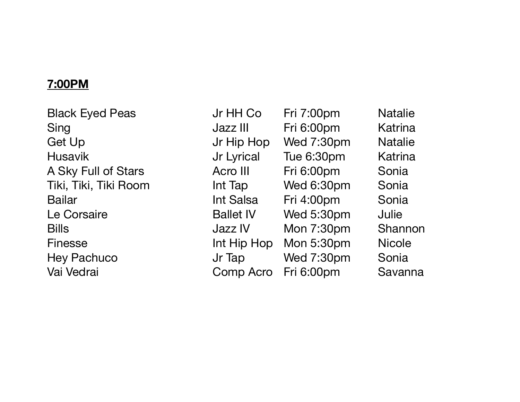## **7:00PM**

Black Eyed Peas **If HH Co** Fri 7:00pm Natalie Sing Sing **Sing Communist Communist Communist Communist Communist Communist Communist Communist Communist Communist Communist Communist Communist Communist Communist Communist Communist Communist Communist Communist Commun** Get Up **Solution Contract Contract Contract Contract Up** Jr Hip Hop Wed 7:30pm Natalie Husavik **Internal Material** Jr Lyrical Tue 6:30pm Katrina A Sky Full of Stars **Acro III** Fri 6:00pm Sonia Tiki, Tiki, Tiki Room **Int Tap** Wed 6:30pm Sonia Bailar **Bailar Bailar Contact Linux** Int Salsa Fri 4:00pm Sonia Le Corsaire **Ballet IV** Wed 5:30pm Julie Bills **Bills Bills COVEC IV Mon 7:30pm** Shannon Finesse **Int Hip Hop Mon 5:30pm** Nicole Hey Pachuco Jr Tap Wed 7:30pm Sonia Vai Vedrai **Xandrai Comp Acro Fri 6:00pm** Savanna